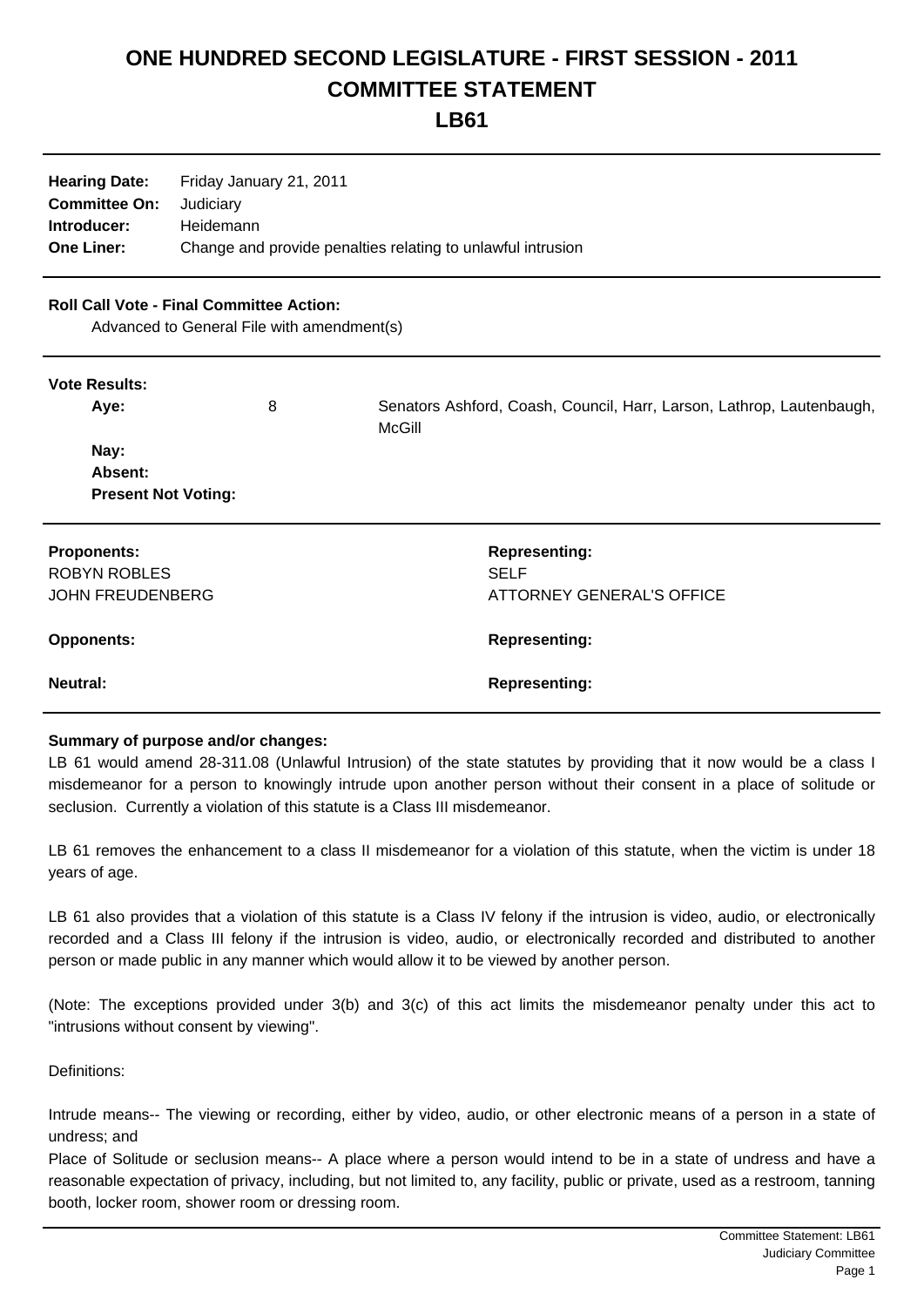## **ONE HUNDRED SECOND LEGISLATURE - FIRST SESSION - 2011 COMMITTEE STATEMENT**

**LB61**

| <b>Hearing Date:</b> | Friday January 21, 2011                                     |
|----------------------|-------------------------------------------------------------|
| <b>Committee On:</b> | Judiciarv                                                   |
| Introducer:          | Heidemann                                                   |
| <b>One Liner:</b>    | Change and provide penalties relating to unlawful intrusion |

## **Roll Call Vote - Final Committee Action:**

Advanced to General File with amendment(s)

| <b>Vote Results:</b>       |   |                                                                                 |
|----------------------------|---|---------------------------------------------------------------------------------|
| Aye:                       | 8 | Senators Ashford, Coash, Council, Harr, Larson, Lathrop, Lautenbaugh,<br>McGill |
| Nay:                       |   |                                                                                 |
| Absent:                    |   |                                                                                 |
| <b>Present Not Voting:</b> |   |                                                                                 |
| <b>Proponents:</b>         |   | <b>Representing:</b>                                                            |
| <b>ROBYN ROBLES</b>        |   | <b>SELF</b>                                                                     |
| <b>JOHN FREUDENBERG</b>    |   | ATTORNEY GENERAL'S OFFICE                                                       |
| <b>Opponents:</b>          |   | <b>Representing:</b>                                                            |
| <b>Neutral:</b>            |   | <b>Representing:</b>                                                            |

## **Summary of purpose and/or changes:**

LB 61 would amend 28-311.08 (Unlawful Intrusion) of the state statutes by providing that it now would be a class I misdemeanor for a person to knowingly intrude upon another person without their consent in a place of solitude or seclusion. Currently a violation of this statute is a Class III misdemeanor.

LB 61 removes the enhancement to a class II misdemeanor for a violation of this statute, when the victim is under 18 years of age.

LB 61 also provides that a violation of this statute is a Class IV felony if the intrusion is video, audio, or electronically recorded and a Class III felony if the intrusion is video, audio, or electronically recorded and distributed to another person or made public in any manner which would allow it to be viewed by another person.

(Note: The exceptions provided under 3(b) and 3(c) of this act limits the misdemeanor penalty under this act to "intrusions without consent by viewing".

Definitions:

Intrude means-- The viewing or recording, either by video, audio, or other electronic means of a person in a state of undress; and

Place of Solitude or seclusion means-- A place where a person would intend to be in a state of undress and have a reasonable expectation of privacy, including, but not limited to, any facility, public or private, used as a restroom, tanning booth, locker room, shower room or dressing room.